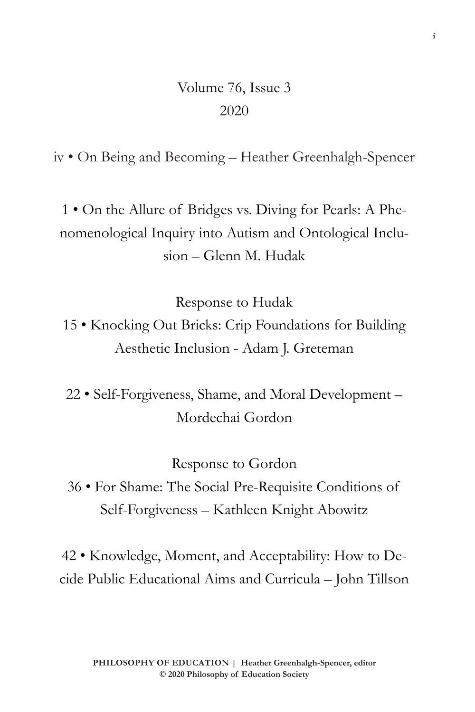## Volume 76, Issue 3 2020

iv • On Being and Becoming – Heather Greenhalgh-Spencer

1 • On the Allure of Bridges vs. Diving for Pearls: A Phenomenological Inquiry into Autism and Ontological Inclusion – Glenn M. Hudak

Response to Hudak

15 • Knocking Out Bricks: Crip Foundations for Building Aesthetic Inclusion - Adam J. Greteman

22 • Self-Forgiveness, Shame, and Moral Development – Mordechai Gordon

Response to Gordon

36 • For Shame: The Social Pre-Requisite Conditions of Self-Forgiveness – Kathleen Knight Abowitz

42 • Knowledge, Moment, and Acceptability: How to Decide Public Educational Aims and Curricula – John Tillson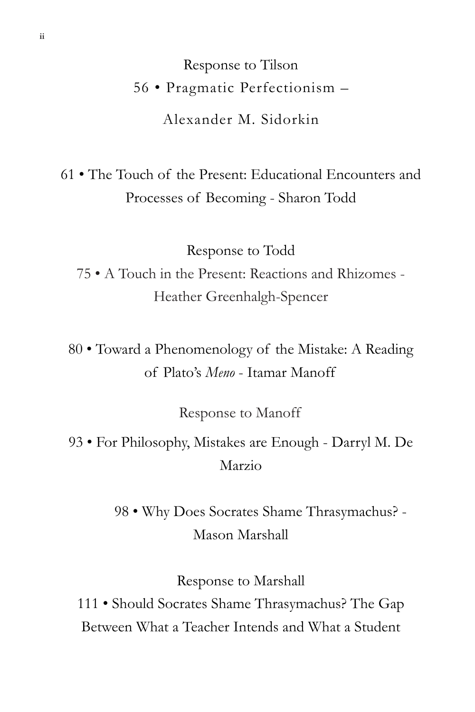Response to Tilson 56 • Pragmatic Perfectionism – Alexander M. Sidorkin

61 • The Touch of the Present: Educational Encounters and Processes of Becoming - Sharon Todd

Response to Todd 75 • A Touch in the Present: Reactions and Rhizomes - Heather Greenhalgh-Spencer

80 • Toward a Phenomenology of the Mistake: A Reading of Plato's *Meno* - Itamar Manoff

Response to Manoff

93 • For Philosophy, Mistakes are Enough - Darryl M. De Marzio

> 98 • Why Does Socrates Shame Thrasymachus? - Mason Marshall

> > Response to Marshall

111 • Should Socrates Shame Thrasymachus? The Gap Between What a Teacher Intends and What a Student